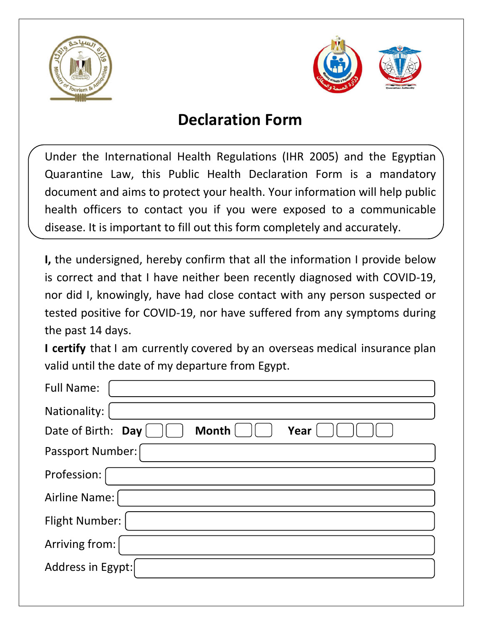



## **Declaration Form**

Under the International Health Regulations (IHR 2005) and the Egyptian Quarantine Law, this Public Health Declaration Form is a mandatory document and aims to protect your health. Your information will help public health officers to contact you if you were exposed to a communicable disease. It is important to fill out this form completely and accurately.

**I,** the undersigned, hereby confirm that all the information I provide below is correct and that I have neither been recently diagnosed with COVID-19, nor did I, knowingly, have had close contact with any person suspected or tested positive for COVID-19, nor have suffered from any symptoms during the past 14 days.

**I certify** that I am currently covered by an overseas medical insurance plan valid until the date of my departure from Egypt.

| <b>Full Name:</b>                          |
|--------------------------------------------|
| Nationality:                               |
| <b>Month</b><br>Year<br>Date of Birth: Day |
| <b>Passport Number:</b>                    |
| Profession:                                |
| Airline Name:                              |
| <b>Flight Number:</b>                      |
| Arriving from:                             |
| Address in Egypt:                          |